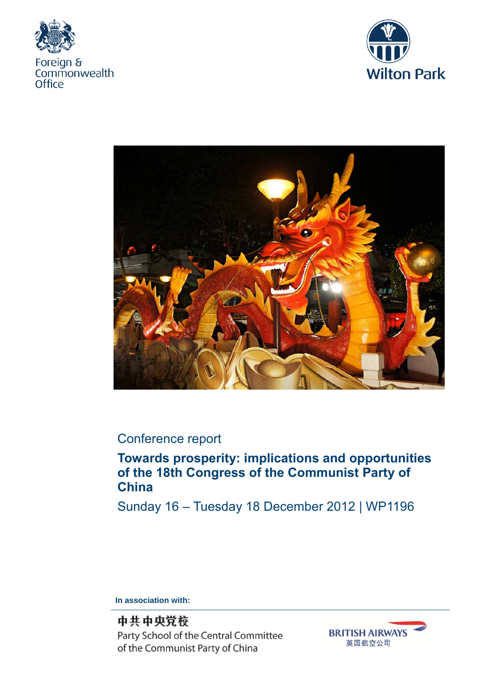





# Conference report

# **Towards prosperity: implications and opportunities of the 18th Congress of the Communist Party of China**

Sunday 16 – Tuesday 18 December 2012 | WP1196

**In association with:** 

中共中央党校 Party School of the Central Committee of the Communist Party of China

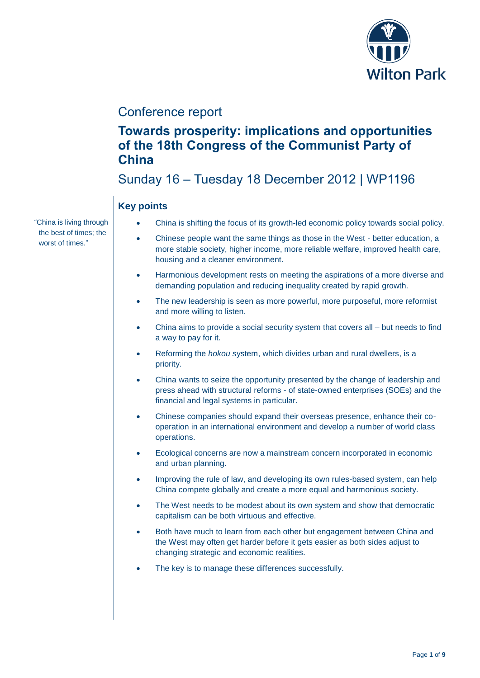

# Conference report

# **Towards prosperity: implications and opportunities of the 18th Congress of the Communist Party of China**

# Sunday 16 – Tuesday 18 December 2012 | WP1196

## **Key points**

- China is shifting the focus of its growth-led economic policy towards social policy.
- Chinese people want the same things as those in the West better education, a more stable society, higher income, more reliable welfare, improved health care, housing and a cleaner environment.
- Harmonious development rests on meeting the aspirations of a more diverse and demanding population and reducing inequality created by rapid growth.
- The new leadership is seen as more powerful, more purposeful, more reformist and more willing to listen.
- China aims to provide a social security system that covers all but needs to find a way to pay for it.
- Reforming the *hokou s*ystem, which divides urban and rural dwellers, is a priority.
- China wants to seize the opportunity presented by the change of leadership and press ahead with structural reforms - of state-owned enterprises (SOEs) and the financial and legal systems in particular.
- Chinese companies should expand their overseas presence, enhance their cooperation in an international environment and develop a number of world class operations.
- Ecological concerns are now a mainstream concern incorporated in economic and urban planning.
- Improving the rule of law, and developing its own rules-based system, can help China compete globally and create a more equal and harmonious society.
- The West needs to be modest about its own system and show that democratic capitalism can be both virtuous and effective.
- Both have much to learn from each other but engagement between China and the West may often get harder before it gets easier as both sides adjust to changing strategic and economic realities.
- The key is to manage these differences successfully.

"China is living through the best of times; the worst of times."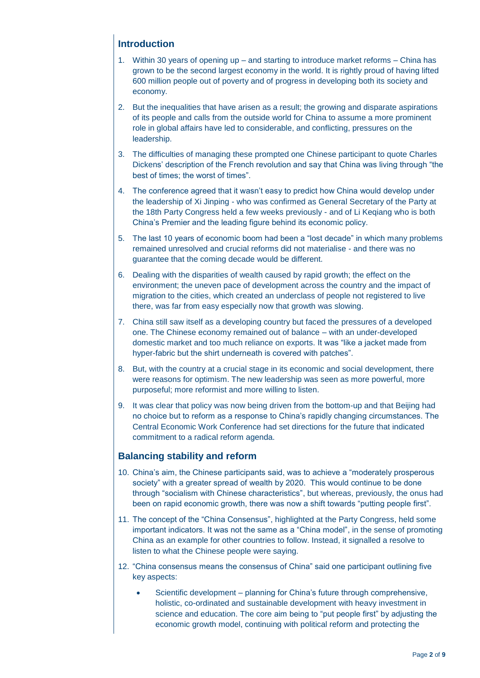## **Introduction**

- 1. Within 30 years of opening up and starting to introduce market reforms China has grown to be the second largest economy in the world. It is rightly proud of having lifted 600 million people out of poverty and of progress in developing both its society and economy.
- 2. But the inequalities that have arisen as a result; the growing and disparate aspirations of its people and calls from the outside world for China to assume a more prominent role in global affairs have led to considerable, and conflicting, pressures on the leadership.
- 3. The difficulties of managing these prompted one Chinese participant to quote Charles Dickens' description of the French revolution and say that China was living through "the best of times; the worst of times".
- 4. The conference agreed that it wasn't easy to predict how China would develop under the leadership of Xi Jinping - who was confirmed as General Secretary of the Party at the 18th Party Congress held a few weeks previously - and of Li Keqiang who is both China's Premier and the leading figure behind its economic policy.
- 5. The last 10 years of economic boom had been a "lost decade" in which many problems remained unresolved and crucial reforms did not materialise - and there was no guarantee that the coming decade would be different.
- 6. Dealing with the disparities of wealth caused by rapid growth; the effect on the environment; the uneven pace of development across the country and the impact of migration to the cities, which created an underclass of people not registered to live there, was far from easy especially now that growth was slowing.
- 7. China still saw itself as a developing country but faced the pressures of a developed one. The Chinese economy remained out of balance – with an under-developed domestic market and too much reliance on exports. It was "like a jacket made from hyper-fabric but the shirt underneath is covered with patches".
- 8. But, with the country at a crucial stage in its economic and social development, there were reasons for optimism. The new leadership was seen as more powerful, more purposeful; more reformist and more willing to listen.
- 9. It was clear that policy was now being driven from the bottom-up and that Beijing had no choice but to reform as a response to China's rapidly changing circumstances. The Central Economic Work Conference had set directions for the future that indicated commitment to a radical reform agenda.

### **Balancing stability and reform**

- 10. China's aim, the Chinese participants said, was to achieve a "moderately prosperous society" with a greater spread of wealth by 2020. This would continue to be done through "socialism with Chinese characteristics", but whereas, previously, the onus had been on rapid economic growth, there was now a shift towards "putting people first".
- 11. The concept of the "China Consensus", highlighted at the Party Congress, held some important indicators. It was not the same as a "China model", in the sense of promoting China as an example for other countries to follow. Instead, it signalled a resolve to listen to what the Chinese people were saying.
- 12. "China consensus means the consensus of China" said one participant outlining five key aspects:
	- Scientific development planning for China's future through comprehensive, holistic, co-ordinated and sustainable development with heavy investment in science and education. The core aim being to "put people first" by adjusting the economic growth model, continuing with political reform and protecting the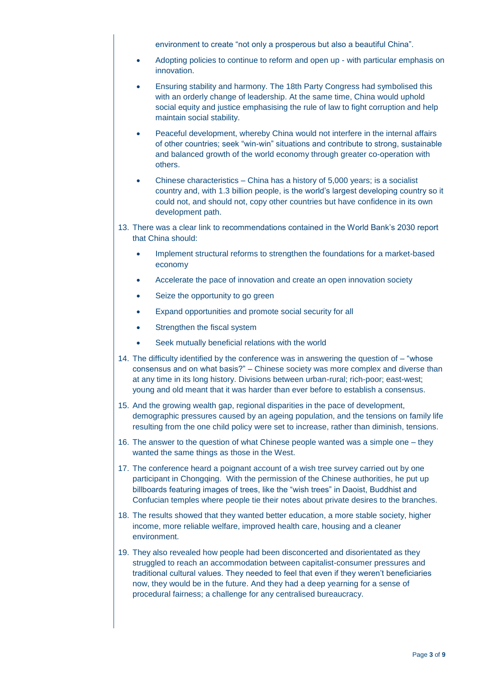environment to create "not only a prosperous but also a beautiful China".

- Adopting policies to continue to reform and open up with particular emphasis on innovation.
- Ensuring stability and harmony. The 18th Party Congress had symbolised this with an orderly change of leadership. At the same time, China would uphold social equity and justice emphasising the rule of law to fight corruption and help maintain social stability.
- Peaceful development, whereby China would not interfere in the internal affairs of other countries; seek "win-win" situations and contribute to strong, sustainable and balanced growth of the world economy through greater co-operation with others.
- Chinese characteristics China has a history of 5,000 years; is a socialist country and, with 1.3 billion people, is the world's largest developing country so it could not, and should not, copy other countries but have confidence in its own development path.
- 13. There was a clear link to recommendations contained in the World Bank's 2030 report that China should:
	- Implement structural reforms to strengthen the foundations for a market-based economy
	- Accelerate the pace of innovation and create an open innovation society
	- Seize the opportunity to go green
	- Expand opportunities and promote social security for all
	- Strengthen the fiscal system
	- Seek mutually beneficial relations with the world
- 14. The difficulty identified by the conference was in answering the question of "whose consensus and on what basis?" – Chinese society was more complex and diverse than at any time in its long history. Divisions between urban-rural; rich-poor; east-west; young and old meant that it was harder than ever before to establish a consensus.
- 15. And the growing wealth gap, regional disparities in the pace of development, demographic pressures caused by an ageing population, and the tensions on family life resulting from the one child policy were set to increase, rather than diminish, tensions.
- 16. The answer to the question of what Chinese people wanted was a simple one they wanted the same things as those in the West.
- 17. The conference heard a poignant account of a wish tree survey carried out by one participant in Chongqing. With the permission of the Chinese authorities, he put up billboards featuring images of trees, like the "wish trees" in Daoist, Buddhist and Confucian temples where people tie their notes about private desires to the branches.
- 18. The results showed that they wanted better education, a more stable society, higher income, more reliable welfare, improved health care, housing and a cleaner environment.
- 19. They also revealed how people had been disconcerted and disorientated as they struggled to reach an accommodation between capitalist-consumer pressures and traditional cultural values. They needed to feel that even if they weren't beneficiaries now, they would be in the future. And they had a deep yearning for a sense of procedural fairness; a challenge for any centralised bureaucracy.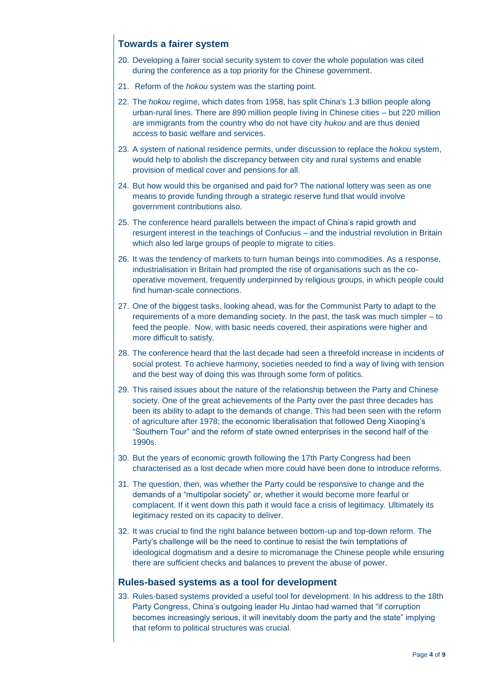### **Towards a fairer system**

- 20. Developing a fairer social security system to cover the whole population was cited during the conference as a top priority for the Chinese government.
- 21. Reform of the *hokou* system was the starting point.
- 22. The *hokou* regime, which dates from 1958, has split China's 1.3 billion people along urban-rural lines. There are 890 million people Iiving in Chinese cities – but 220 million are immigrants from the country who do not have city *hukou* and are thus denied access to basic welfare and services.
- 23. A system of national residence permits, under discussion to replace the *hokou* system, would help to abolish the discrepancy between city and rural systems and enable provision of medical cover and pensions for all.
- 24. But how would this be organised and paid for? The national lottery was seen as one means to provide funding through a strategic reserve fund that would involve government contributions also.
- 25. The conference heard parallels between the impact of China's rapid growth and resurgent interest in the teachings of Confucius – and the industrial revolution in Britain which also led large groups of people to migrate to cities.
- 26. It was the tendency of markets to turn human beings into commodities. As a response, industrialisation in Britain had prompted the rise of organisations such as the cooperative movement, frequently underpinned by religious groups, in which people could find human-scale connections.
- 27. One of the biggest tasks, looking ahead, was for the Communist Party to adapt to the requirements of a more demanding society. In the past, the task was much simpler – to feed the people. Now, with basic needs covered, their aspirations were higher and more difficult to satisfy.
- 28. The conference heard that the last decade had seen a threefold increase in incidents of social protest. To achieve harmony, societies needed to find a way of living with tension and the best way of doing this was through some form of politics.
- 29. This raised issues about the nature of the relationship between the Party and Chinese society. One of the great achievements of the Party over the past three decades has been its ability to adapt to the demands of change. This had been seen with the reform of agriculture after 1978; the economic liberalisation that followed Deng Xiaoping's "Southern Tour" and the reform of state owned enterprises in the second half of the 1990s.
- 30. But the years of economic growth following the 17th Party Congress had been characterised as a lost decade when more could have been done to introduce reforms.
- 31. The question, then, was whether the Party could be responsive to change and the demands of a "multipolar society" or, whether it would become more fearful or complacent. If it went down this path it would face a crisis of legitimacy. Ultimately its legitimacy rested on its capacity to deliver.
- 32. It was crucial to find the right balance between bottom-up and top-down reform. The Party's challenge will be the need to continue to resist the twin temptations of ideological dogmatism and a desire to micromanage the Chinese people while ensuring there are sufficient checks and balances to prevent the abuse of power.

#### **Rules-based systems as a tool for development**

33. Rules-based systems provided a useful tool for development. In his address to the 18th Party Congress, China's outgoing leader Hu Jintao had warned that "if corruption becomes increasingly serious, it will inevitably doom the party and the state" implying that reform to political structures was crucial.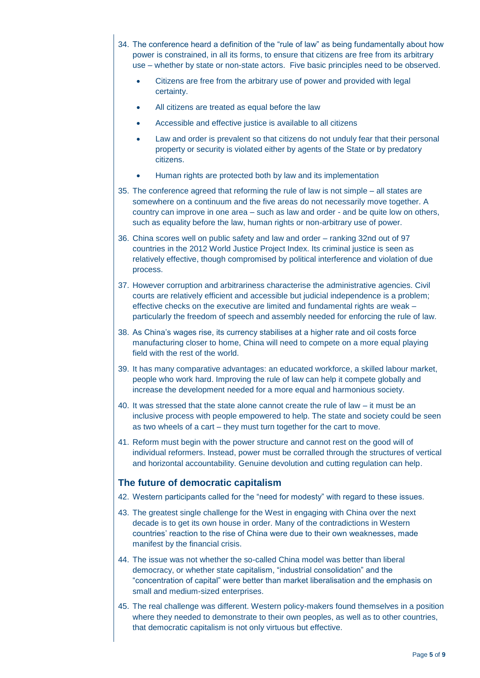- 34. The conference heard a definition of the "rule of law" as being fundamentally about how power is constrained, in all its forms, to ensure that citizens are free from its arbitrary use – whether by state or non-state actors. Five basic principles need to be observed.
	- Citizens are free from the arbitrary use of power and provided with legal certainty.
	- All citizens are treated as equal before the law
	- Accessible and effective justice is available to all citizens
	- Law and order is prevalent so that citizens do not unduly fear that their personal property or security is violated either by agents of the State or by predatory citizens.
	- Human rights are protected both by law and its implementation
- 35. The conference agreed that reforming the rule of law is not simple all states are somewhere on a continuum and the five areas do not necessarily move together. A country can improve in one area – such as law and order - and be quite low on others, such as equality before the law, human rights or non-arbitrary use of power.
- 36. China scores well on public safety and law and order ranking 32nd out of 97 countries in the 2012 World Justice Project Index. Its criminal justice is seen as relatively effective, though compromised by political interference and violation of due process.
- 37. However corruption and arbitrariness characterise the administrative agencies. Civil courts are relatively efficient and accessible but judicial independence is a problem; effective checks on the executive are limited and fundamental rights are weak – particularly the freedom of speech and assembly needed for enforcing the rule of law.
- 38. As China's wages rise, its currency stabilises at a higher rate and oil costs force manufacturing closer to home, China will need to compete on a more equal playing field with the rest of the world.
- 39. It has many comparative advantages: an educated workforce, a skilled labour market, people who work hard. Improving the rule of law can help it compete globally and increase the development needed for a more equal and harmonious society.
- 40. It was stressed that the state alone cannot create the rule of law it must be an inclusive process with people empowered to help. The state and society could be seen as two wheels of a cart – they must turn together for the cart to move.
- 41. Reform must begin with the power structure and cannot rest on the good will of individual reformers. Instead, power must be corralled through the structures of vertical and horizontal accountability. Genuine devolution and cutting regulation can help.

## **The future of democratic capitalism**

- 42. Western participants called for the "need for modesty" with regard to these issues.
- 43. The greatest single challenge for the West in engaging with China over the next decade is to get its own house in order. Many of the contradictions in Western countries' reaction to the rise of China were due to their own weaknesses, made manifest by the financial crisis.
- 44. The issue was not whether the so-called China model was better than liberal democracy, or whether state capitalism, "industrial consolidation" and the "concentration of capital" were better than market liberalisation and the emphasis on small and medium-sized enterprises.
- 45. The real challenge was different. Western policy-makers found themselves in a position where they needed to demonstrate to their own peoples, as well as to other countries, that democratic capitalism is not only virtuous but effective.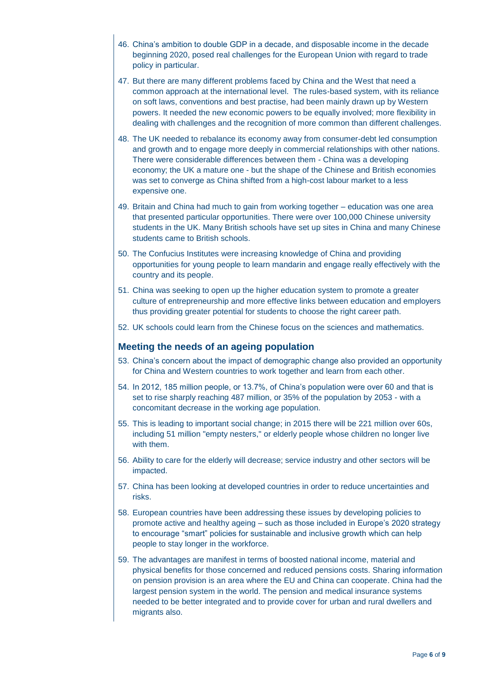- 46. China's ambition to double GDP in a decade, and disposable income in the decade beginning 2020, posed real challenges for the European Union with regard to trade policy in particular.
- 47. But there are many different problems faced by China and the West that need a common approach at the international level. The rules-based system, with its reliance on soft laws, conventions and best practise, had been mainly drawn up by Western powers. It needed the new economic powers to be equally involved; more flexibility in dealing with challenges and the recognition of more common than different challenges.
- 48. The UK needed to rebalance its economy away from consumer-debt led consumption and growth and to engage more deeply in commercial relationships with other nations. There were considerable differences between them - China was a developing economy; the UK a mature one - but the shape of the Chinese and British economies was set to converge as China shifted from a high-cost labour market to a less expensive one.
- 49. Britain and China had much to gain from working together education was one area that presented particular opportunities. There were over 100,000 Chinese university students in the UK. Many British schools have set up sites in China and many Chinese students came to British schools.
- 50. The Confucius Institutes were increasing knowledge of China and providing opportunities for young people to learn mandarin and engage really effectively with the country and its people.
- 51. China was seeking to open up the higher education system to promote a greater culture of entrepreneurship and more effective links between education and employers thus providing greater potential for students to choose the right career path.
- 52. UK schools could learn from the Chinese focus on the sciences and mathematics.

#### **Meeting the needs of an ageing population**

- 53. China's concern about the impact of demographic change also provided an opportunity for China and Western countries to work together and learn from each other.
- 54. In 2012, 185 million people, or 13.7%, of China's population were over 60 and that is set to rise sharply reaching 487 million, or 35% of the population by 2053 - with a concomitant decrease in the working age population.
- 55. This is leading to important social change; in 2015 there will be 221 million over 60s, including 51 million "empty nesters," or elderly people whose children no longer live with them.
- 56. Ability to care for the elderly will decrease; service industry and other sectors will be impacted.
- 57. China has been looking at developed countries in order to reduce uncertainties and risks.
- 58. European countries have been addressing these issues by developing policies to promote active and healthy ageing – such as those included in Europe's 2020 strategy to encourage "smart" policies for sustainable and inclusive growth which can help people to stay longer in the workforce.
- 59. The advantages are manifest in terms of boosted national income, material and physical benefits for those concerned and reduced pensions costs. Sharing information on pension provision is an area where the EU and China can cooperate. China had the largest pension system in the world. The pension and medical insurance systems needed to be better integrated and to provide cover for urban and rural dwellers and migrants also.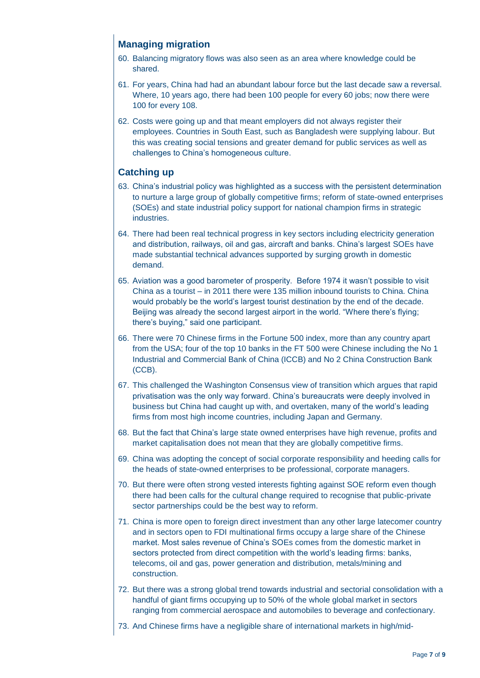# **Managing migration**

- 60. Balancing migratory flows was also seen as an area where knowledge could be shared.
- 61. For years, China had had an abundant labour force but the last decade saw a reversal. Where, 10 years ago, there had been 100 people for every 60 jobs; now there were 100 for every 108.
- 62. Costs were going up and that meant employers did not always register their employees. Countries in South East, such as Bangladesh were supplying labour. But this was creating social tensions and greater demand for public services as well as challenges to China's homogeneous culture.

### **Catching up**

- 63. China's industrial policy was highlighted as a success with the persistent determination to nurture a large group of globally competitive firms; reform of state-owned enterprises (SOEs) and state industrial policy support for national champion firms in strategic industries.
- 64. There had been real technical progress in key sectors including electricity generation and distribution, railways, oil and gas, aircraft and banks. China's largest SOEs have made substantial technical advances supported by surging growth in domestic demand.
- 65. Aviation was a good barometer of prosperity. Before 1974 it wasn't possible to visit China as a tourist – in 2011 there were 135 million inbound tourists to China. China would probably be the world's largest tourist destination by the end of the decade. Beijing was already the second largest airport in the world. "Where there's flying; there's buying," said one participant.
- 66. There were 70 Chinese firms in the Fortune 500 index, more than any country apart from the USA; four of the top 10 banks in the FT 500 were Chinese including the No 1 Industrial and Commercial Bank of China (ICCB) and No 2 China Construction Bank (CCB).
- 67. This challenged the Washington Consensus view of transition which argues that rapid privatisation was the only way forward. China's bureaucrats were deeply involved in business but China had caught up with, and overtaken, many of the world's leading firms from most high income countries, including Japan and Germany.
- 68. But the fact that China's large state owned enterprises have high revenue, profits and market capitalisation does not mean that they are globally competitive firms.
- 69. China was adopting the concept of social corporate responsibility and heeding calls for the heads of state-owned enterprises to be professional, corporate managers.
- 70. But there were often strong vested interests fighting against SOE reform even though there had been calls for the cultural change required to recognise that public-private sector partnerships could be the best way to reform.
- 71. China is more open to foreign direct investment than any other large latecomer country and in sectors open to FDI multinational firms occupy a large share of the Chinese market. Most sales revenue of China's SOEs comes from the domestic market in sectors protected from direct competition with the world's leading firms: banks, telecoms, oil and gas, power generation and distribution, metals/mining and construction.
- 72. But there was a strong global trend towards industrial and sectorial consolidation with a handful of giant firms occupying up to 50% of the whole global market in sectors ranging from commercial aerospace and automobiles to beverage and confectionary.
- 73. And Chinese firms have a negligible share of international markets in high/mid-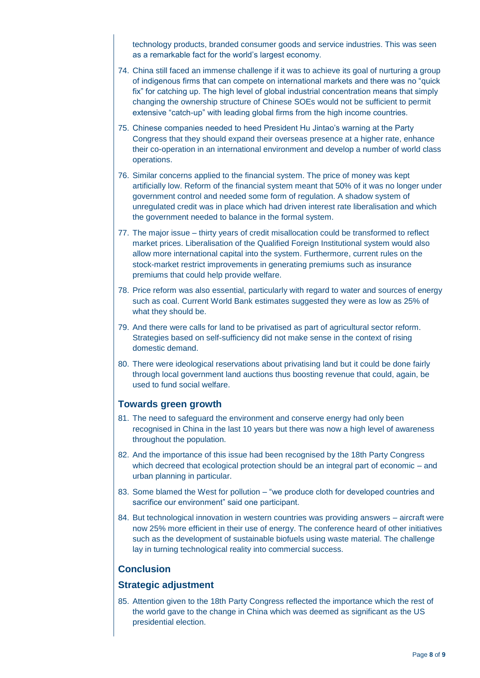technology products, branded consumer goods and service industries. This was seen as a remarkable fact for the world's largest economy.

- 74. China still faced an immense challenge if it was to achieve its goal of nurturing a group of indigenous firms that can compete on international markets and there was no "quick fix" for catching up. The high level of global industrial concentration means that simply changing the ownership structure of Chinese SOEs would not be sufficient to permit extensive "catch-up" with leading global firms from the high income countries.
- 75. Chinese companies needed to heed President Hu Jintao's warning at the Party Congress that they should expand their overseas presence at a higher rate, enhance their co-operation in an international environment and develop a number of world class operations.
- 76. Similar concerns applied to the financial system. The price of money was kept artificially low. Reform of the financial system meant that 50% of it was no longer under government control and needed some form of regulation. A shadow system of unregulated credit was in place which had driven interest rate liberalisation and which the government needed to balance in the formal system.
- 77. The major issue thirty years of credit misallocation could be transformed to reflect market prices. Liberalisation of the Qualified Foreign Institutional system would also allow more international capital into the system. Furthermore, current rules on the stock-market restrict improvements in generating premiums such as insurance premiums that could help provide welfare.
- 78. Price reform was also essential, particularly with regard to water and sources of energy such as coal. Current World Bank estimates suggested they were as low as 25% of what they should be.
- 79. And there were calls for land to be privatised as part of agricultural sector reform. Strategies based on self-sufficiency did not make sense in the context of rising domestic demand.
- 80. There were ideological reservations about privatising land but it could be done fairly through local government land auctions thus boosting revenue that could, again, be used to fund social welfare.

### **Towards green growth**

- 81. The need to safeguard the environment and conserve energy had only been recognised in China in the last 10 years but there was now a high level of awareness throughout the population.
- 82. And the importance of this issue had been recognised by the 18th Party Congress which decreed that ecological protection should be an integral part of economic – and urban planning in particular.
- 83. Some blamed the West for pollution "we produce cloth for developed countries and sacrifice our environment" said one participant.
- 84. But technological innovation in western countries was providing answers aircraft were now 25% more efficient in their use of energy. The conference heard of other initiatives such as the development of sustainable biofuels using waste material. The challenge lay in turning technological reality into commercial success.

### **Conclusion**

#### **Strategic adjustment**

85. Attention given to the 18th Party Congress reflected the importance which the rest of the world gave to the change in China which was deemed as significant as the US presidential election.